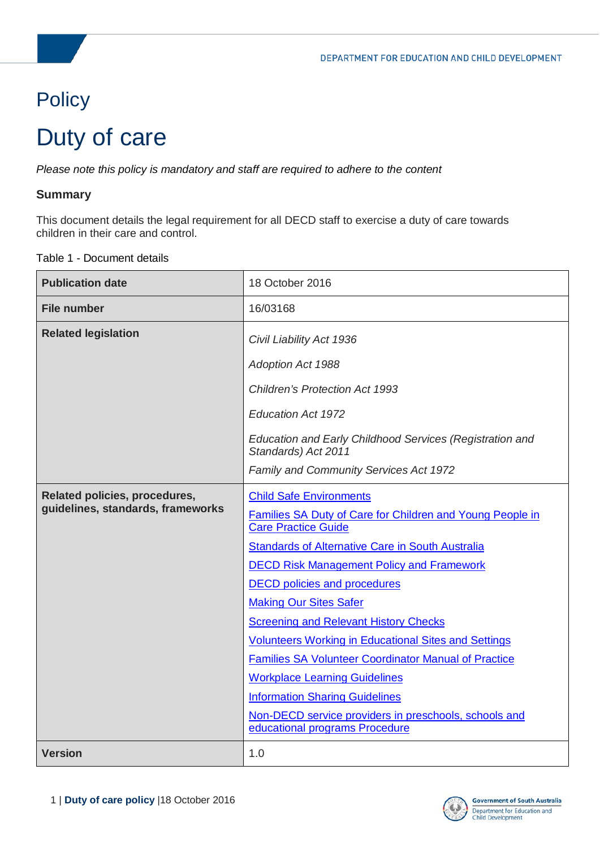# **Policy**

# Duty of care

*Please note this policy is mandatory and staff are required to adhere to the content* 

#### **Summary**

This document details the legal requirement for all DECD staff to exercise a duty of care towards children in their care and control.

#### Table 1 - Document details

| <b>Publication date</b>                                            | 18 October 2016                                                                         |  |
|--------------------------------------------------------------------|-----------------------------------------------------------------------------------------|--|
| <b>File number</b>                                                 | 16/03168                                                                                |  |
| <b>Related legislation</b>                                         | Civil Liability Act 1936                                                                |  |
|                                                                    | Adoption Act 1988                                                                       |  |
|                                                                    | <b>Children's Protection Act 1993</b>                                                   |  |
|                                                                    | <b>Education Act 1972</b>                                                               |  |
|                                                                    | Education and Early Childhood Services (Registration and<br>Standards) Act 2011         |  |
|                                                                    | Family and Community Services Act 1972                                                  |  |
| Related policies, procedures,<br>guidelines, standards, frameworks | <b>Child Safe Environments</b>                                                          |  |
|                                                                    | Families SA Duty of Care for Children and Young People in<br><b>Care Practice Guide</b> |  |
|                                                                    | <b>Standards of Alternative Care in South Australia</b>                                 |  |
|                                                                    | <b>DECD Risk Management Policy and Framework</b>                                        |  |
|                                                                    | <b>DECD</b> policies and procedures                                                     |  |
|                                                                    | <b>Making Our Sites Safer</b>                                                           |  |
|                                                                    | <b>Screening and Relevant History Checks</b>                                            |  |
|                                                                    | <b>Volunteers Working in Educational Sites and Settings</b>                             |  |
|                                                                    | <b>Families SA Volunteer Coordinator Manual of Practice</b>                             |  |
|                                                                    | <b>Workplace Learning Guidelines</b>                                                    |  |
|                                                                    | <b>Information Sharing Guidelines</b>                                                   |  |
|                                                                    | Non-DECD service providers in preschools, schools and<br>educational programs Procedure |  |
| <b>Version</b>                                                     | 1.0                                                                                     |  |

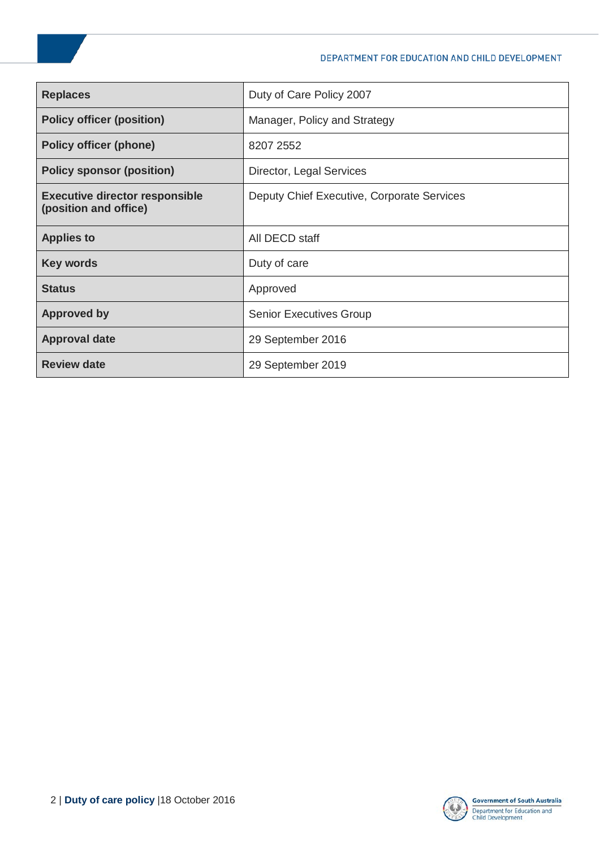| <b>Replaces</b>                                                | Duty of Care Policy 2007                   |  |
|----------------------------------------------------------------|--------------------------------------------|--|
| <b>Policy officer (position)</b>                               | Manager, Policy and Strategy               |  |
| <b>Policy officer (phone)</b>                                  | 8207 2552                                  |  |
| <b>Policy sponsor (position)</b>                               | Director, Legal Services                   |  |
| <b>Executive director responsible</b><br>(position and office) | Deputy Chief Executive, Corporate Services |  |
| <b>Applies to</b>                                              | All DECD staff                             |  |
| <b>Key words</b>                                               | Duty of care                               |  |
| <b>Status</b>                                                  | Approved                                   |  |
| <b>Approved by</b>                                             | <b>Senior Executives Group</b>             |  |
| <b>Approval date</b>                                           | 29 September 2016                          |  |
| <b>Review date</b>                                             | 29 September 2019                          |  |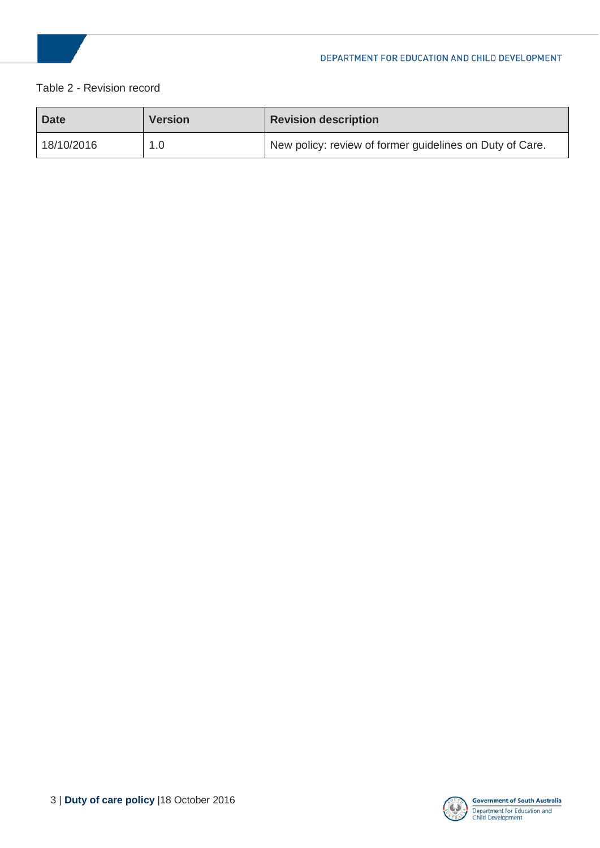

#### Table 2 - Revision record

| <b>Date</b> | <b>Version</b> | <b>Revision description</b>                              |
|-------------|----------------|----------------------------------------------------------|
| 18/10/2016  | 1.0            | New policy: review of former guidelines on Duty of Care. |

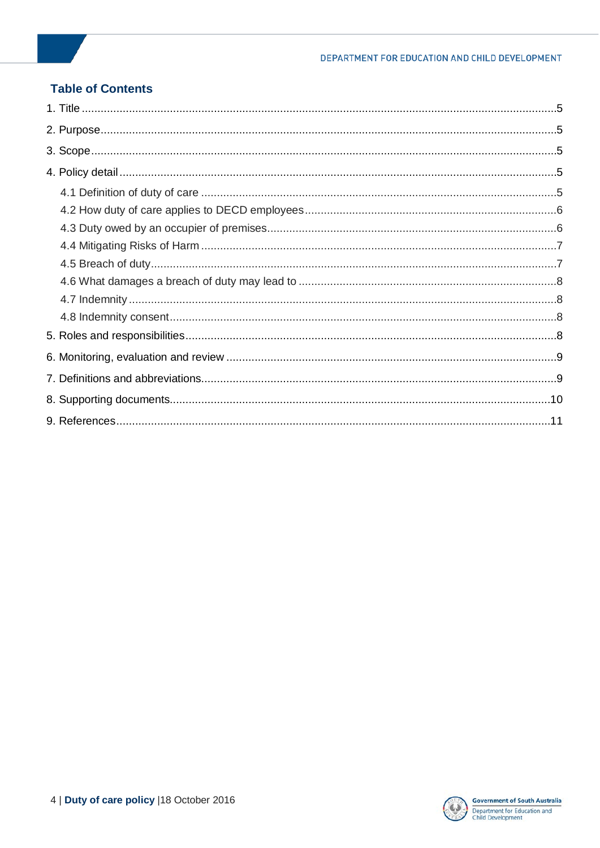#### **Table of Contents**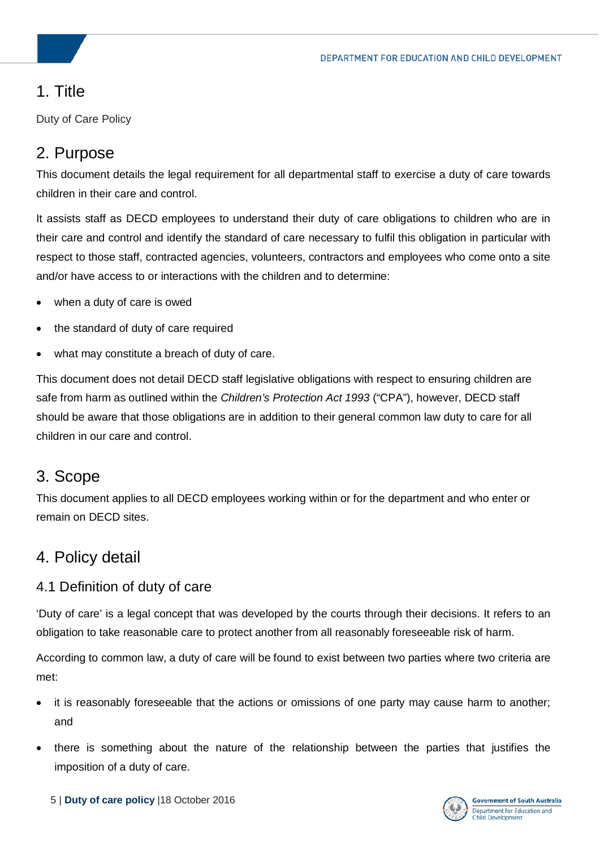# <span id="page-4-0"></span>1. Title

Duty of Care Policy

# <span id="page-4-1"></span>2. Purpose

This document details the legal requirement for all departmental staff to exercise a duty of care towards children in their care and control.

It assists staff as DECD employees to understand their duty of care obligations to children who are in their care and control and identify the standard of care necessary to fulfil this obligation in particular with respect to those staff, contracted agencies, volunteers, contractors and employees who come onto a site and/or have access to or interactions with the children and to determine:

- when a duty of care is owed
- the standard of duty of care required
- what may constitute a breach of duty of care.

This document does not detail DECD staff legislative obligations with respect to ensuring children are safe from harm as outlined within the *Children's Protection Act 1993* ("CPA"), however, DECD staff should be aware that those obligations are in addition to their general common law duty to care for all children in our care and control.

## <span id="page-4-2"></span>3. Scope

This document applies to all DECD employees working within or for the department and who enter or remain on DECD sites.

# <span id="page-4-3"></span>4. Policy detail

## <span id="page-4-4"></span>4.1 Definition of duty of care

'Duty of care' is a legal concept that was developed by the courts through their decisions. It refers to an obligation to take reasonable care to protect another from all reasonably foreseeable risk of harm.

According to common law, a duty of care will be found to exist between two parties where two criteria are met:

- it is reasonably foreseeable that the actions or omissions of one party may cause harm to another; and
- there is something about the nature of the relationship between the parties that justifies the imposition of a duty of care.

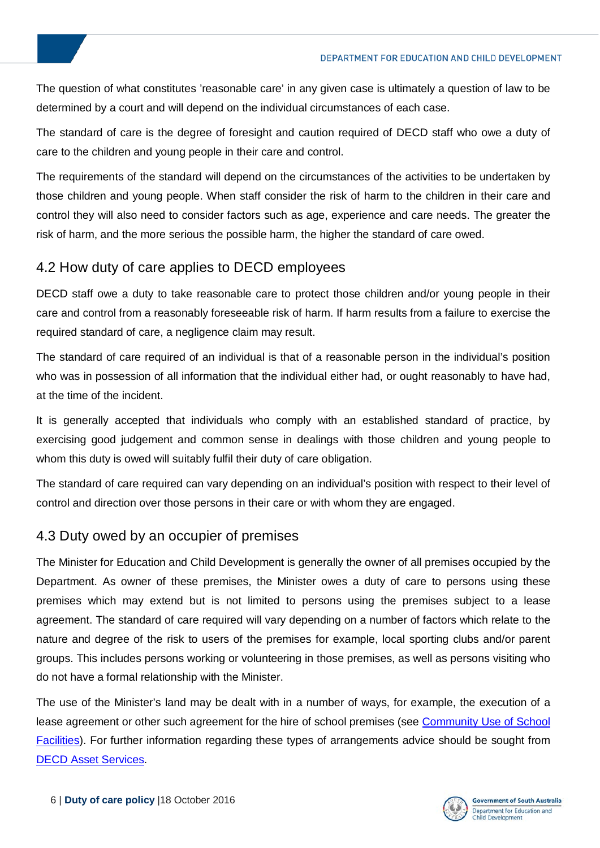The question of what constitutes 'reasonable care' in any given case is ultimately a question of law to be determined by a court and will depend on the individual circumstances of each case.

The standard of care is the degree of foresight and caution required of DECD staff who owe a duty of care to the children and young people in their care and control.

The requirements of the standard will depend on the circumstances of the activities to be undertaken by those children and young people. When staff consider the risk of harm to the children in their care and control they will also need to consider factors such as age, experience and care needs. The greater the risk of harm, and the more serious the possible harm, the higher the standard of care owed.

## <span id="page-5-0"></span>4.2 How duty of care applies to DECD employees

DECD staff owe a duty to take reasonable care to protect those children and/or young people in their care and control from a reasonably foreseeable risk of harm. If harm results from a failure to exercise the required standard of care, a negligence claim may result.

The standard of care required of an individual is that of a reasonable person in the individual's position who was in possession of all information that the individual either had, or ought reasonably to have had, at the time of the incident.

It is generally accepted that individuals who comply with an established standard of practice, by exercising good judgement and common sense in dealings with those children and young people to whom this duty is owed will suitably fulfil their duty of care obligation.

The standard of care required can vary depending on an individual's position with respect to their level of control and direction over those persons in their care or with whom they are engaged.

## <span id="page-5-1"></span>4.3 Duty owed by an occupier of premises

The Minister for Education and Child Development is generally the owner of all premises occupied by the Department. As owner of these premises, the Minister owes a duty of care to persons using these premises which may extend but is not limited to persons using the premises subject to a lease agreement. The standard of care required will vary depending on a number of factors which relate to the nature and degree of the risk to users of the premises for example, local sporting clubs and/or parent groups. This includes persons working or volunteering in those premises, as well as persons visiting who do not have a formal relationship with the Minister.

The use of the Minister's land may be dealt with in a number of ways, for example, the execution of a lease agreement or other such agreement for the hire of school premises (see [Community Use of School](https://myintranet.learnlink.sa.edu.au/operations-and-management/facilities-and-security/property-management/community-use-of-school-facilities)  [Facilities\)](https://myintranet.learnlink.sa.edu.au/operations-and-management/facilities-and-security/property-management/community-use-of-school-facilities). For further information regarding these types of arrangements advice should be sought from [DECD Asset Services.](https://myintranet.learnlink.sa.edu.au/operations-and-management/facilities-and-security/property-management/community-use-of-school-facilities)

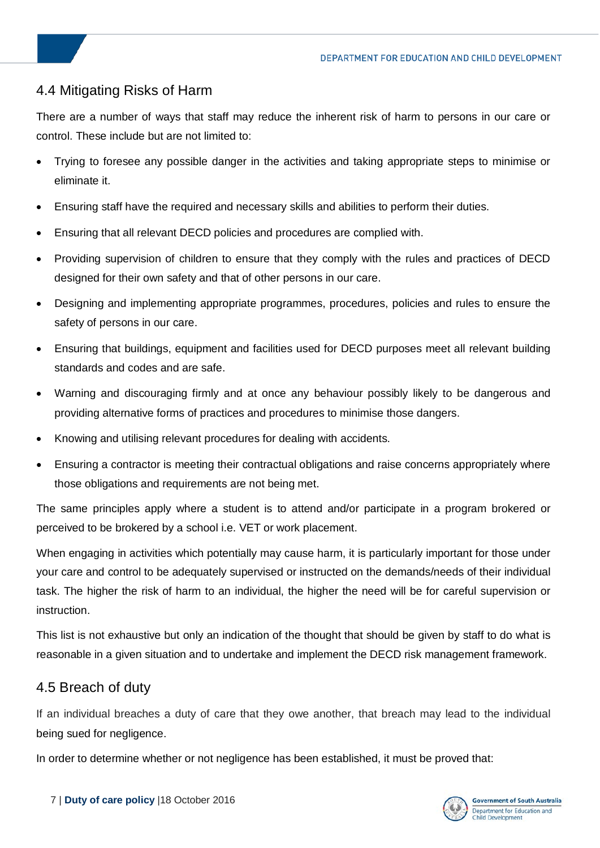## <span id="page-6-0"></span>4.4 Mitigating Risks of Harm

There are a number of ways that staff may reduce the inherent risk of harm to persons in our care or control. These include but are not limited to:

- Trying to foresee any possible danger in the activities and taking appropriate steps to minimise or eliminate it.
- Ensuring staff have the required and necessary skills and abilities to perform their duties.
- Ensuring that all relevant DECD policies and procedures are complied with.
- Providing supervision of children to ensure that they comply with the rules and practices of DECD designed for their own safety and that of other persons in our care.
- Designing and implementing appropriate programmes, procedures, policies and rules to ensure the safety of persons in our care.
- Ensuring that buildings, equipment and facilities used for DECD purposes meet all relevant building standards and codes and are safe.
- Warning and discouraging firmly and at once any behaviour possibly likely to be dangerous and providing alternative forms of practices and procedures to minimise those dangers.
- Knowing and utilising relevant procedures for dealing with accidents.
- Ensuring a contractor is meeting their contractual obligations and raise concerns appropriately where those obligations and requirements are not being met.

The same principles apply where a student is to attend and/or participate in a program brokered or perceived to be brokered by a school i.e. VET or work placement.

When engaging in activities which potentially may cause harm, it is particularly important for those under your care and control to be adequately supervised or instructed on the demands/needs of their individual task. The higher the risk of harm to an individual, the higher the need will be for careful supervision or instruction.

This list is not exhaustive but only an indication of the thought that should be given by staff to do what is reasonable in a given situation and to undertake and implement the DECD risk management framework.

## <span id="page-6-1"></span>4.5 Breach of duty

If an individual breaches a duty of care that they owe another, that breach may lead to the individual being sued for negligence.

In order to determine whether or not negligence has been established, it must be proved that:

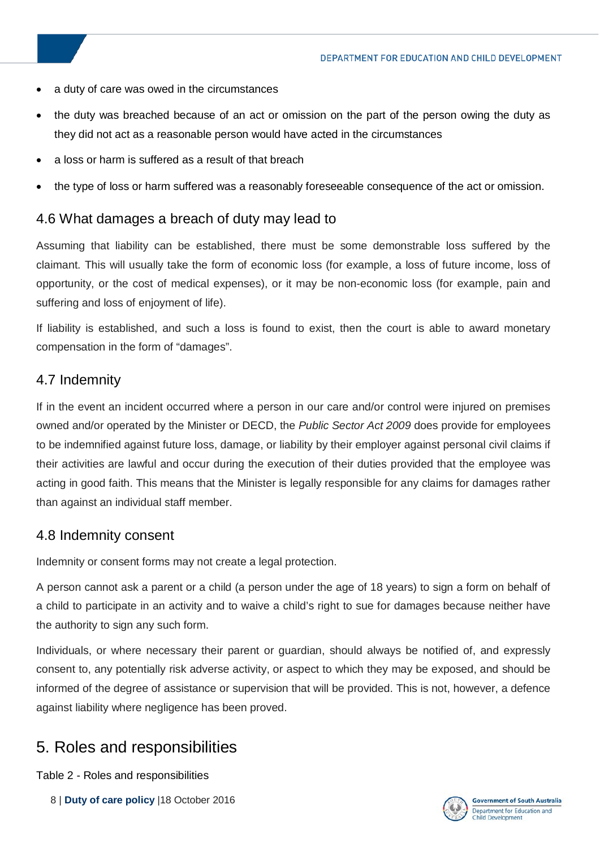- a duty of care was owed in the circumstances
- the duty was breached because of an act or omission on the part of the person owing the duty as they did not act as a reasonable person would have acted in the circumstances
- a loss or harm is suffered as a result of that breach
- the type of loss or harm suffered was a reasonably foreseeable consequence of the act or omission.

## <span id="page-7-0"></span>4.6 What damages a breach of duty may lead to

Assuming that liability can be established, there must be some demonstrable loss suffered by the claimant. This will usually take the form of economic loss (for example, a loss of future income, loss of opportunity, or the cost of medical expenses), or it may be non-economic loss (for example, pain and suffering and loss of enjoyment of life).

If liability is established, and such a loss is found to exist, then the court is able to award monetary compensation in the form of "damages".

## <span id="page-7-1"></span>4.7 Indemnity

If in the event an incident occurred where a person in our care and/or control were injured on premises owned and/or operated by the Minister or DECD, the *Public Sector Act 2009* does provide for employees to be indemnified against future loss, damage, or liability by their employer against personal civil claims if their activities are lawful and occur during the execution of their duties provided that the employee was acting in good faith. This means that the Minister is legally responsible for any claims for damages rather than against an individual staff member.

## <span id="page-7-2"></span>4.8 Indemnity consent

Indemnity or consent forms may not create a legal protection.

A person cannot ask a parent or a child (a person under the age of 18 years) to sign a form on behalf of a child to participate in an activity and to waive a child's right to sue for damages because neither have the authority to sign any such form.

Individuals, or where necessary their parent or guardian, should always be notified of, and expressly consent to, any potentially risk adverse activity, or aspect to which they may be exposed, and should be informed of the degree of assistance or supervision that will be provided. This is not, however, a defence against liability where negligence has been proved.

# <span id="page-7-3"></span>5. Roles and responsibilities

Table 2 - Roles and responsibilities

8 | **Duty of care policy** |18 October 2016

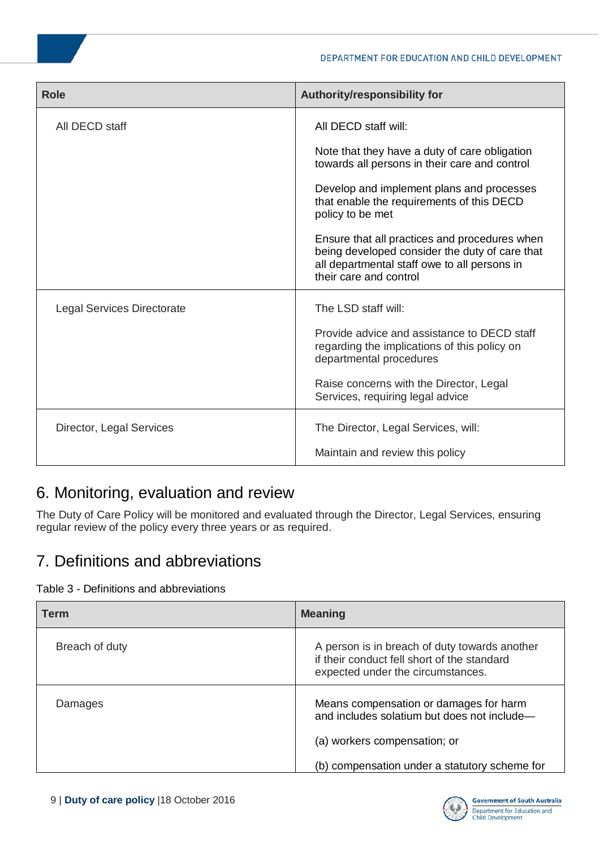| <b>Role</b>                       | Authority/responsibility for                                                                                                                                              |
|-----------------------------------|---------------------------------------------------------------------------------------------------------------------------------------------------------------------------|
| All DECD staff                    | All DECD staff will:                                                                                                                                                      |
|                                   | Note that they have a duty of care obligation<br>towards all persons in their care and control                                                                            |
|                                   | Develop and implement plans and processes<br>that enable the requirements of this DECD<br>policy to be met                                                                |
|                                   | Ensure that all practices and procedures when<br>being developed consider the duty of care that<br>all departmental staff owe to all persons in<br>their care and control |
| <b>Legal Services Directorate</b> | The LSD staff will:                                                                                                                                                       |
|                                   | Provide advice and assistance to DECD staff<br>regarding the implications of this policy on<br>departmental procedures                                                    |
|                                   | Raise concerns with the Director, Legal<br>Services, requiring legal advice                                                                                               |
| Director, Legal Services          | The Director, Legal Services, will:                                                                                                                                       |
|                                   | Maintain and review this policy                                                                                                                                           |

# <span id="page-8-0"></span>6. Monitoring, evaluation and review

The Duty of Care Policy will be monitored and evaluated through the Director, Legal Services, ensuring regular review of the policy every three years or as required.

# <span id="page-8-1"></span>7. Definitions and abbreviations

#### Table 3 - Definitions and abbreviations

| <b>Term</b>    | <b>Meaning</b>                                                                                                                    |
|----------------|-----------------------------------------------------------------------------------------------------------------------------------|
| Breach of duty | A person is in breach of duty towards another<br>if their conduct fell short of the standard<br>expected under the circumstances. |
| Damages        | Means compensation or damages for harm<br>and includes solatium but does not include-<br>(a) workers compensation; or             |
|                | (b) compensation under a statutory scheme for                                                                                     |

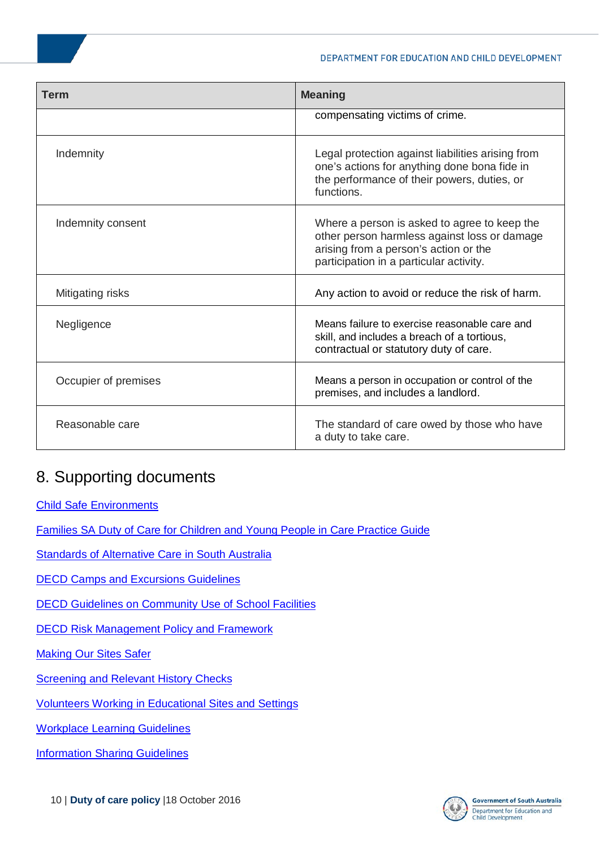| <b>Term</b>          | <b>Meaning</b>                                                                                                                                                                   |
|----------------------|----------------------------------------------------------------------------------------------------------------------------------------------------------------------------------|
|                      | compensating victims of crime.                                                                                                                                                   |
| Indemnity            | Legal protection against liabilities arising from<br>one's actions for anything done bona fide in<br>the performance of their powers, duties, or<br>functions.                   |
| Indemnity consent    | Where a person is asked to agree to keep the<br>other person harmless against loss or damage<br>arising from a person's action or the<br>participation in a particular activity. |
| Mitigating risks     | Any action to avoid or reduce the risk of harm.                                                                                                                                  |
| Negligence           | Means failure to exercise reasonable care and<br>skill, and includes a breach of a tortious,<br>contractual or statutory duty of care.                                           |
| Occupier of premises | Means a person in occupation or control of the<br>premises, and includes a landlord.                                                                                             |
| Reasonable care      | The standard of care owed by those who have<br>a duty to take care.                                                                                                              |

# <span id="page-9-0"></span>8. Supporting documents

[Child Safe Environments](http://www.families.sa.gov.au/pages/protectingchildren/CSEHome/?reFlag=1)

[Families SA Duty of Care for Children and Young People in Care Practice Guide](http://inside.dfc.sa.gov.au/sites/corpdocs/Families%20SA%20documents/Duty%20of%20care%20practice%20guidelines.doc)

Standards of Alternative Care in South Australia

[DECD Camps and Excursions Guidelines](http://www.decd.sa.gov.au/docs/documents/1/CampsandExcursionsGuide.pdf)

[DECD Guidelines on Community Use of School Facilities](https://myintranet.learnlink.sa.edu.au/operations-and-management/facilities-and-security/property-management/community-use-of-school-facilities)

[DECD Risk Management Policy and Framework](https://myintranet.learnlink.sa.edu.au/operations-and-management/audit,-review,-incident-and-risk-management/risk-management-in-decd/decd-risk-management-framework)

**[Making Our Sites Safer](https://myintranet.learnlink.sa.edu.au/operations-and-management/site-administration/school-administration/making-our-sites-safer-moss)** 

**[Screening and Relevant History Checks](http://www.decd.sa.gov.au/hrstaff/a8_publish/modules/publish/content.asp?navgrp=default&id=criminalhistory)** 

Volunteers [Working in Educational Sites and Settings](http://www.decd.sa.gov.au/docs/documents/1/volunteersineducational.pdf)

[Workplace Learning Guidelines](https://myintranet.learnlink.sa.edu.au/educating/curriculum-years-10-12/vocational-education/vet-guidelines-for-schools)

**Information Sharing Guidelines**